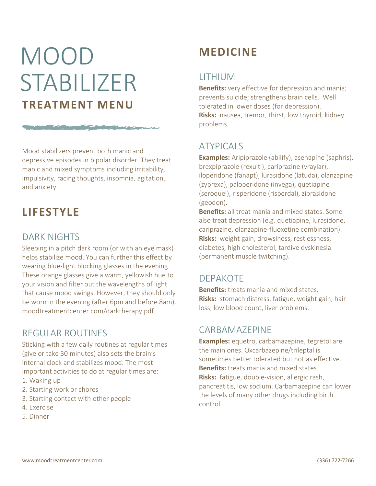# MOOD STABILIZER **TREATMENT MENU**

The company of the company of the company of the company of the company of the company of the company of

Mood stabilizers prevent both manic and depressive episodes in bipolar disorder. They treat manic and mixed symptoms including irritability, impulsivity, racing thoughts, insomnia, agitation, and anxiety.

# **LIFESTYLE**

## DARK NIGHTS

Sleeping in a pitch dark room (or with an eye mask) helps stabilize mood. You can further this effect by wearing blue-light blocking glasses in the evening. These orange glasses give a warm, yellowish hue to your vision and filter out the wavelengths of light that cause mood swings. However, they should only be worn in the evening (after 6pm and before 8am). moodtreatmentcenter.com/darktherapy.pdf

## REGULAR ROUTINES

Sticking with a few daily routines at regular times (give or take 30 minutes) also sets the brain's internal clock and stabilizes mood. The most important activities to do at regular times are:

- 1. Waking up
- 2. Starting work or chores
- 3. Starting contact with other people
- 4. Exercise
- 5. Dinner

# **MEDICINE**

## LITHIUM

**Benefits:** very effective for depression and mania; prevents suicide; strengthens brain cells. Well tolerated in lower doses (for depression). **Risks:** nausea, tremor, thirst, low thyroid, kidney problems.

# ATYPICALS

**Examples:** Aripiprazole (abilify), asenapine (saphris), brexpiprazole (rexulti), cariprazine (vraylar), iloperidone (fanapt), lurasidone (latuda), olanzapine (zyprexa), paloperidone (invega), quetiapine (seroquel), risperidone (risperdal), ziprasidone (geodon).

**Benefits:** all treat mania and mixed states. Some also treat depression (e.g. quetiapine, lurasidone, cariprazine, olanzapine-fluoxetine combination). **Risks:** weight gain, drowsiness, restlessness, diabetes, high cholesterol, tardive dyskinesia (permanent muscle twitching).

## DEPAKOTE

**Benefits:** treats mania and mixed states. **Risks:** stomach distress, fatigue, weight gain, hair loss, low blood count, liver problems.

#### CARBAMAZEPINE

**Examples:** equetro, carbamazepine, tegretol are the main ones. Oxcarbazepine/trileptal is sometimes better tolerated but not as effective. **Benefits:** treats mania and mixed states. **Risks:** fatigue, double-vision, allergic rash, pancreatitis, low sodium. Carbamazepine can lower the levels of many other drugs including birth control.